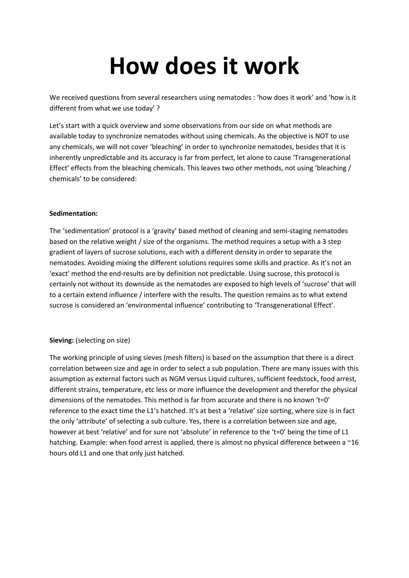## **How does it work**

We received questions from several researchers using nematodes : 'how does it work' and 'how is it different from what we use today' ?

Let's start with a quick overview and some observations from our side on what methods are available today to synchronize nematodes without using chemicals. As the objective is NOT to use any chemicals, we will not cover 'bleaching' in order to synchronize nematodes, besides that it is inherently unpredictable and its accuracy is far from perfect, let alone to cause 'Transgenerational Effect' effects from the bleaching chemicals. This leaves two other methods, not using 'bleaching / chemicals' to be considered:

## **Sedimentation:**

The 'sedimentation' protocol is a 'gravity' based method of cleaning and semi-staging nematodes based on the relative weight / size of the organisms. The method requires a setup with a 3 step gradient of layers of sucrose solutions, each with a different density in order to separate the nematodes. Avoiding mixing the different solutions requires some skills and practice. As it's not an 'exact' method the end-results are by definition not predictable. Using sucrose, this protocol is certainly not without its downside as the nematodes are exposed to high levels of 'sucrose' that will to a certain extend influence / interfere with the results. The question remains as to what extend sucrose is considered an 'environmental influence' contributing to 'Transgenerational Effect'.

## **Sieving:** (selecting on size)

The working principle of using sieves (mesh filters) is based on the assumption that there is a direct correlation between size and age in order to select a sub population. There are many issues with this assumption as external factors such as NGM versus Liquid cultures, sufficient feedstock, food arrest, different strains, temperature, etc less or more influence the development and therefor the physical dimensions of the nematodes. This method is far from accurate and there is no known 't=0' reference to the exact time the L1's hatched. It's at best a 'relative' size sorting, where size is in fact the only 'attribute' of selecting a sub culture. Yes, there is a correlation between size and age, however at best 'relative' and for sure not 'absolute' in reference to the 't=0' being the time of L1 hatching. Example: when food arrest is applied, there is almost no physical difference between a ~16 hours old L1 and one that only just hatched.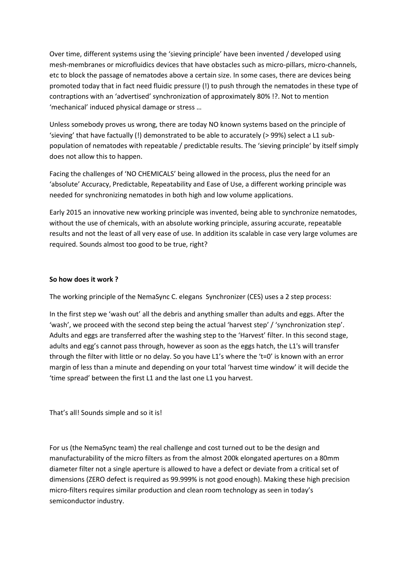Over time, different systems using the 'sieving principle' have been invented / developed using mesh-membranes or microfluidics devices that have obstacles such as micro-pillars, micro-channels, etc to block the passage of nematodes above a certain size. In some cases, there are devices being promoted today that in fact need fluidic pressure (!) to push through the nematodes in these type of contraptions with an 'advertised' synchronization of approximately 80% !?. Not to mention 'mechanical' induced physical damage or stress …

Unless somebody proves us wrong, there are today NO known systems based on the principle of 'sieving' that have factually (!) demonstrated to be able to accurately (> 99%) select a L1 subpopulation of nematodes with repeatable / predictable results. The 'sieving principle' by itself simply does not allow this to happen.

Facing the challenges of 'NO CHEMICALS' being allowed in the process, plus the need for an 'absolute' Accuracy, Predictable, Repeatability and Ease of Use, a different working principle was needed for synchronizing nematodes in both high and low volume applications.

Early 2015 an innovative new working principle was invented, being able to synchronize nematodes, without the use of chemicals, with an absolute working principle, assuring accurate, repeatable results and not the least of all very ease of use. In addition its scalable in case very large volumes are required. Sounds almost too good to be true, right?

## **So how does it work ?**

The working principle of the NemaSync C. elegans Synchronizer (CES) uses a 2 step process:

In the first step we 'wash out' all the debris and anything smaller than adults and eggs. After the 'wash', we proceed with the second step being the actual 'harvest step' / 'synchronization step'. Adults and eggs are transferred after the washing step to the 'Harvest' filter. In this second stage, adults and egg's cannot pass through, however as soon as the eggs hatch, the L1's will transfer through the filter with little or no delay. So you have L1's where the 't=0' is known with an error margin of less than a minute and depending on your total 'harvest time window' it will decide the 'time spread' between the first L1 and the last one L1 you harvest.

That's all! Sounds simple and so it is!

For us (the NemaSync team) the real challenge and cost turned out to be the design and manufacturability of the micro filters as from the almost 200k elongated apertures on a 80mm diameter filter not a single aperture is allowed to have a defect or deviate from a critical set of dimensions (ZERO defect is required as 99.999% is not good enough). Making these high precision micro-filters requires similar production and clean room technology as seen in today's semiconductor industry.